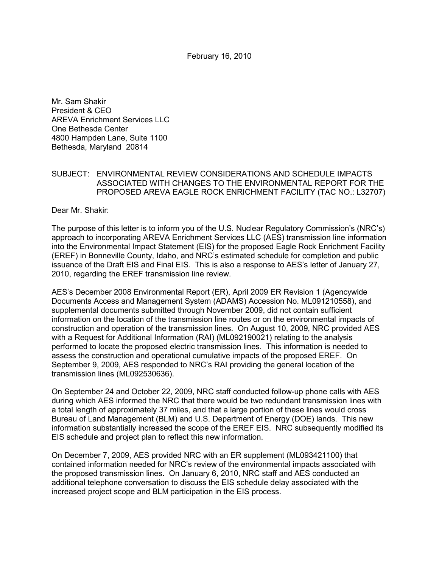February 16, 2010

Mr. Sam Shakir President & CEO AREVA Enrichment Services LLC One Bethesda Center 4800 Hampden Lane, Suite 1100 Bethesda, Maryland 20814

## SUBJECT: ENVIRONMENTAL REVIEW CONSIDERATIONS AND SCHEDULE IMPACTS ASSOCIATED WITH CHANGES TO THE ENVIRONMENTAL REPORT FOR THE PROPOSED AREVA EAGLE ROCK ENRICHMENT FACILITY (TAC NO.: L32707)

Dear Mr. Shakir:

The purpose of this letter is to inform you of the U.S. Nuclear Regulatory Commission's (NRC's) approach to incorporating AREVA Enrichment Services LLC (AES) transmission line information into the Environmental Impact Statement (EIS) for the proposed Eagle Rock Enrichment Facility (EREF) in Bonneville County, Idaho, and NRC's estimated schedule for completion and public issuance of the Draft EIS and Final EIS. This is also a response to AES's letter of January 27, 2010, regarding the EREF transmission line review.

AES's December 2008 Environmental Report (ER), April 2009 ER Revision 1 (Agencywide Documents Access and Management System (ADAMS) Accession No. ML091210558), and supplemental documents submitted through November 2009, did not contain sufficient information on the location of the transmission line routes or on the environmental impacts of construction and operation of the transmission lines. On August 10, 2009, NRC provided AES with a Request for Additional Information (RAI) (ML092190021) relating to the analysis performed to locate the proposed electric transmission lines. This information is needed to assess the construction and operational cumulative impacts of the proposed EREF. On September 9, 2009, AES responded to NRC's RAI providing the general location of the transmission lines (ML092530636).

On September 24 and October 22, 2009, NRC staff conducted follow-up phone calls with AES during which AES informed the NRC that there would be two redundant transmission lines with a total length of approximately 37 miles, and that a large portion of these lines would cross Bureau of Land Management (BLM) and U.S. Department of Energy (DOE) lands. This new information substantially increased the scope of the EREF EIS. NRC subsequently modified its EIS schedule and project plan to reflect this new information.

On December 7, 2009, AES provided NRC with an ER supplement (ML093421100) that contained information needed for NRC's review of the environmental impacts associated with the proposed transmission lines. On January 6, 2010, NRC staff and AES conducted an additional telephone conversation to discuss the EIS schedule delay associated with the increased project scope and BLM participation in the EIS process.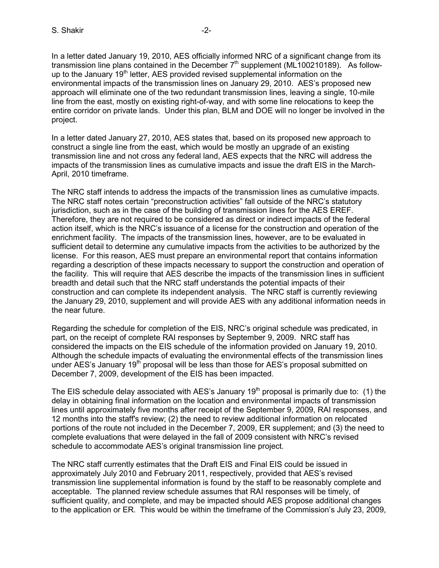In a letter dated January 19, 2010, AES officially informed NRC of a significant change from its transmission line plans contained in the December  $7<sup>th</sup>$  supplement (ML100210189). As followup to the January  $19<sup>th</sup>$  letter, AES provided revised supplemental information on the environmental impacts of the transmission lines on January 29, 2010. AES's proposed new approach will eliminate one of the two redundant transmission lines, leaving a single, 10-mile line from the east, mostly on existing right-of-way, and with some line relocations to keep the entire corridor on private lands. Under this plan, BLM and DOE will no longer be involved in the project.

In a letter dated January 27, 2010, AES states that, based on its proposed new approach to construct a single line from the east, which would be mostly an upgrade of an existing transmission line and not cross any federal land, AES expects that the NRC will address the impacts of the transmission lines as cumulative impacts and issue the draft EIS in the March-April, 2010 timeframe.

The NRC staff intends to address the impacts of the transmission lines as cumulative impacts. The NRC staff notes certain "preconstruction activities" fall outside of the NRC's statutory jurisdiction, such as in the case of the building of transmission lines for the AES EREF. Therefore, they are not required to be considered as direct or indirect impacts of the federal action itself, which is the NRC's issuance of a license for the construction and operation of the enrichment facility. The impacts of the transmission lines, however, are to be evaluated in sufficient detail to determine any cumulative impacts from the activities to be authorized by the license. For this reason, AES must prepare an environmental report that contains information regarding a description of these impacts necessary to support the construction and operation of the facility. This will require that AES describe the impacts of the transmission lines in sufficient breadth and detail such that the NRC staff understands the potential impacts of their construction and can complete its independent analysis. The NRC staff is currently reviewing the January 29, 2010, supplement and will provide AES with any additional information needs in the near future.

Regarding the schedule for completion of the EIS, NRC's original schedule was predicated, in part, on the receipt of complete RAI responses by September 9, 2009. NRC staff has considered the impacts on the EIS schedule of the information provided on January 19, 2010. Although the schedule impacts of evaluating the environmental effects of the transmission lines under AES's January  $19<sup>th</sup>$  proposal will be less than those for AES's proposal submitted on December 7, 2009, development of the EIS has been impacted.

The EIS schedule delay associated with AES's January 19<sup>th</sup> proposal is primarily due to: (1) the delay in obtaining final information on the location and environmental impacts of transmission lines until approximately five months after receipt of the September 9, 2009, RAI responses, and 12 months into the staff's review; (2) the need to review additional information on relocated portions of the route not included in the December 7, 2009, ER supplement; and (3) the need to complete evaluations that were delayed in the fall of 2009 consistent with NRC's revised schedule to accommodate AES's original transmission line project.

The NRC staff currently estimates that the Draft EIS and Final EIS could be issued in approximately July 2010 and February 2011, respectively, provided that AES's revised transmission line supplemental information is found by the staff to be reasonably complete and acceptable. The planned review schedule assumes that RAI responses will be timely, of sufficient quality, and complete, and may be impacted should AES propose additional changes to the application or ER. This would be within the timeframe of the Commission's July 23, 2009,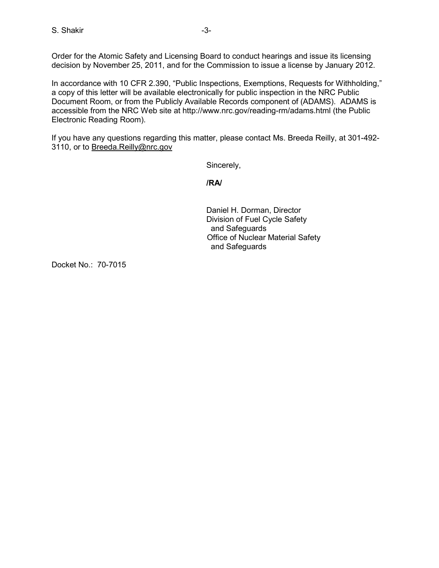Order for the Atomic Safety and Licensing Board to conduct hearings and issue its licensing decision by November 25, 2011, and for the Commission to issue a license by January 2012.

In accordance with 10 CFR 2.390, "Public Inspections, Exemptions, Requests for Withholding," a copy of this letter will be available electronically for public inspection in the NRC Public Document Room, or from the Publicly Available Records component of (ADAMS). ADAMS is accessible from the NRC Web site at http://www.nrc.gov/reading-rm/adams.html (the Public Electronic Reading Room).

If you have any questions regarding this matter, please contact Ms. Breeda Reilly, at 301-492- 3110, or to Breeda.Reilly@nrc.gov

Sincerely,

**/RA/** 

 Daniel H. Dorman, Director Division of Fuel Cycle Safety and Safeguards Office of Nuclear Material Safety and Safeguards

Docket No.: 70-7015